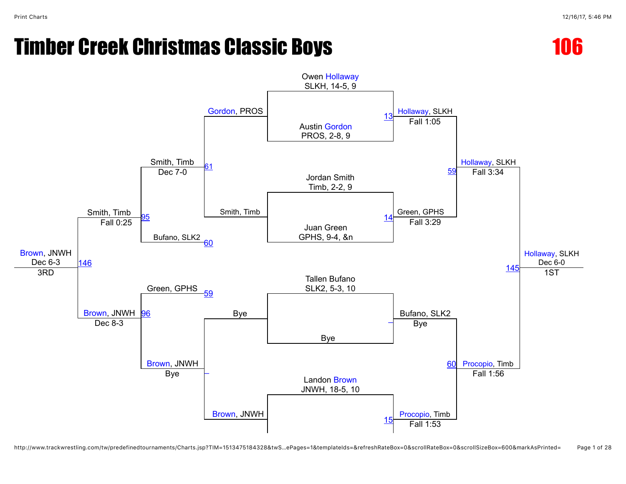

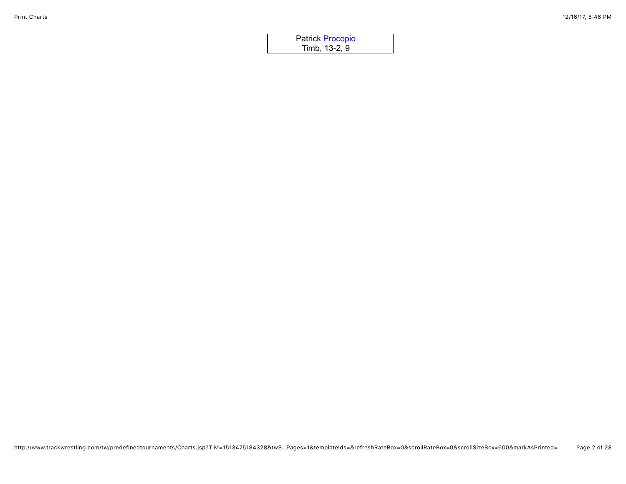| <b>Patrick Procopio</b> |  |
|-------------------------|--|
| Timb, 13-2, 9           |  |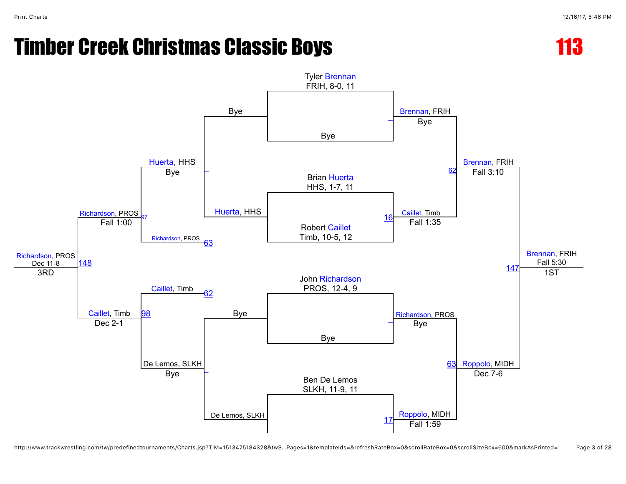

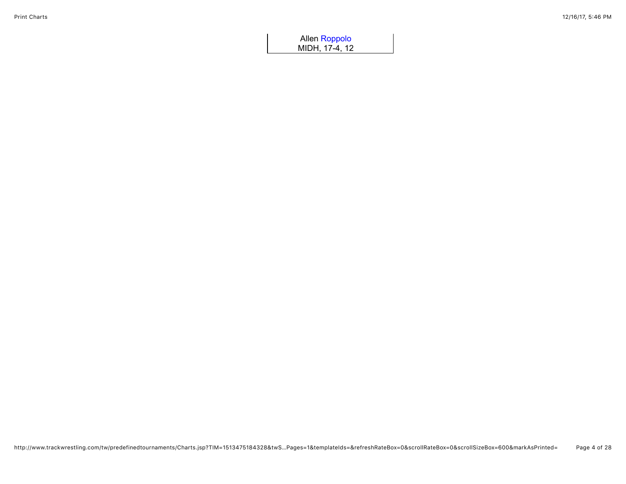| Allen Roppolo  |  |
|----------------|--|
| MIDH, 17-4, 12 |  |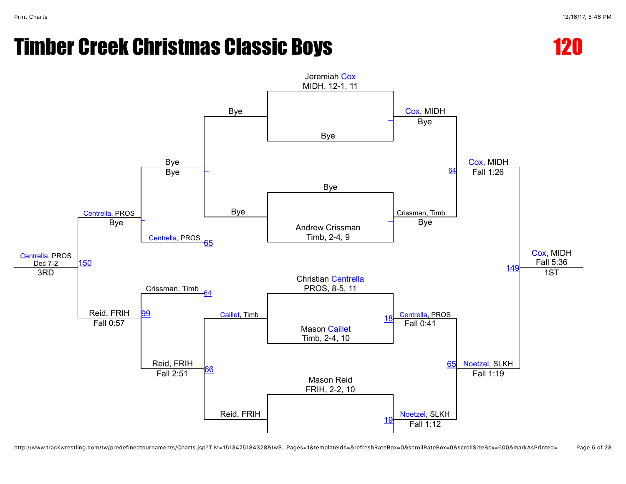

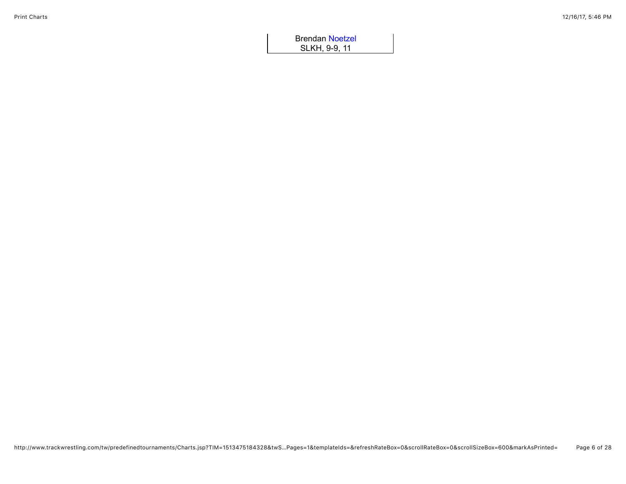| <b>Brendan Noetzel</b> |  |
|------------------------|--|
| SLKH, 9-9, 11          |  |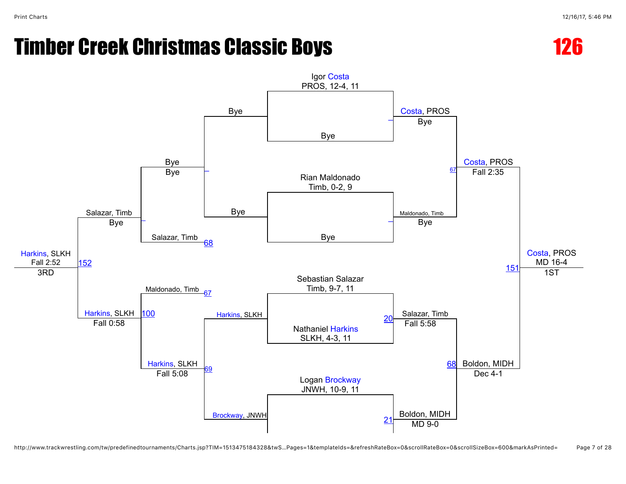

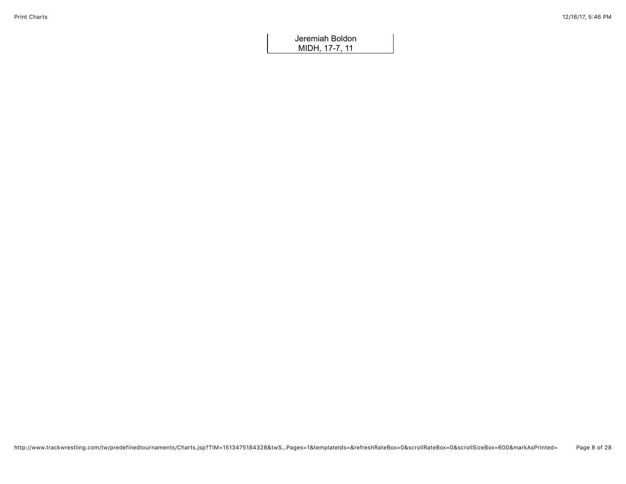Jeremiah Boldon MIDH, 17-7, 11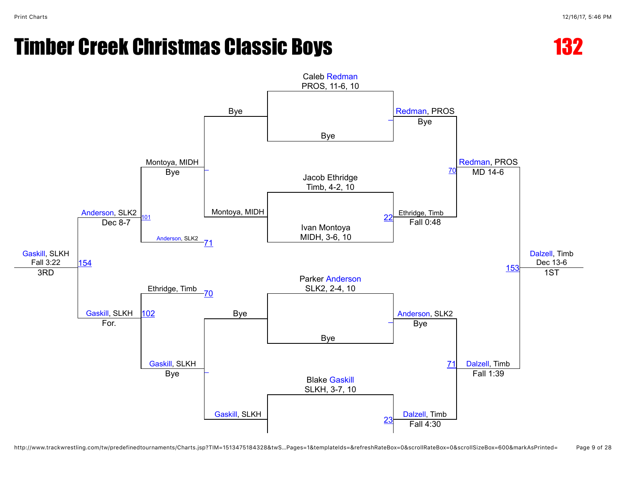

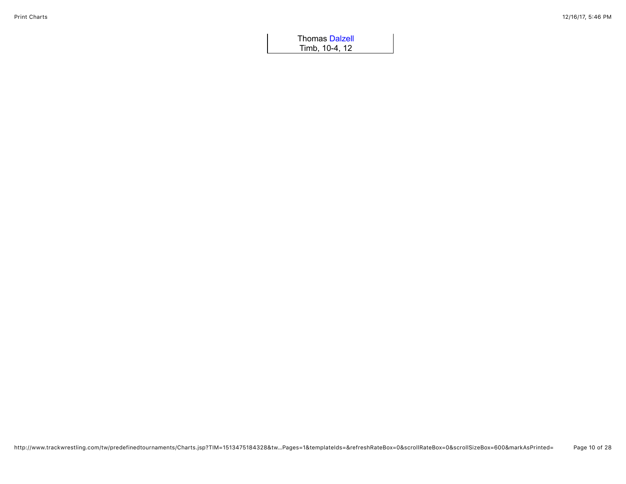| <b>Thomas Dalzell</b> |  |
|-----------------------|--|
| Timb, 10-4, 12        |  |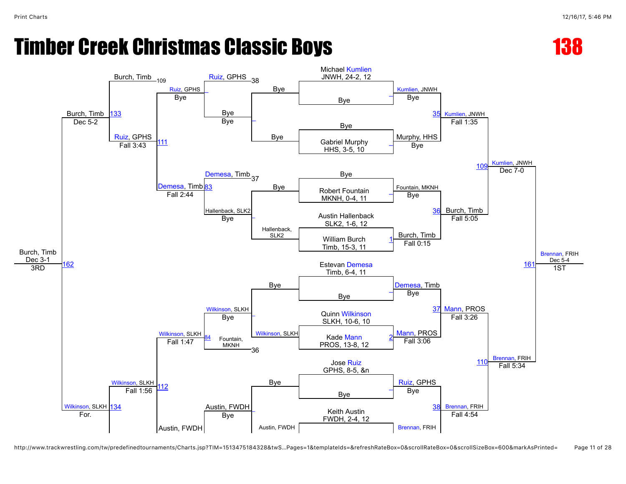

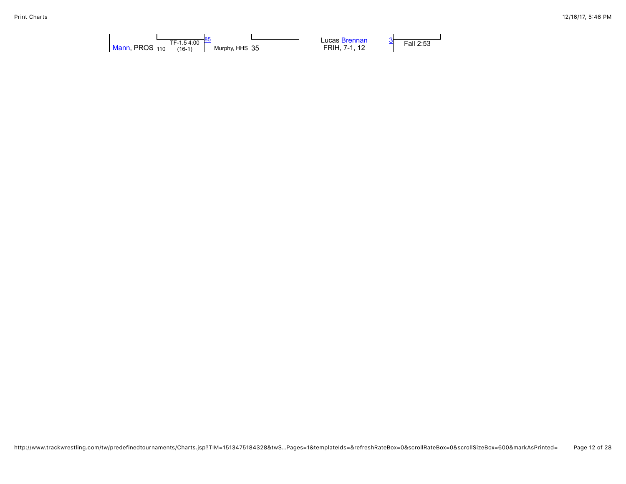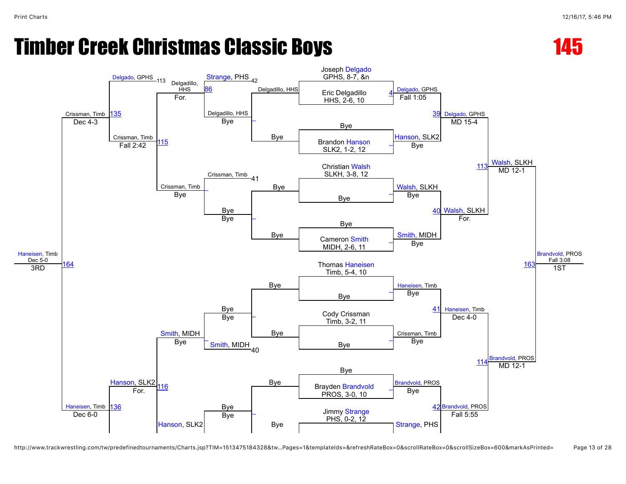



http://www.trackwrestling.com/tw/predefinedtournaments/Charts.jsp?TIM=1513475184328&tw…Pages=1&templateIds=&refreshRateBox=0&scrollRateBox=0&scrollSizeBox=600&markAsPrinted= Page 13 of 28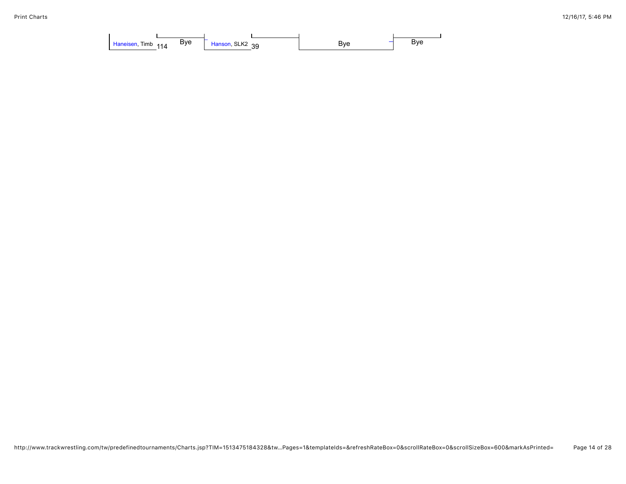| Bve<br><b>Timb</b><br>Haneisen,<br>114 | Hanson, SLK2<br>ാവ<br>ື | Bve | Bve |
|----------------------------------------|-------------------------|-----|-----|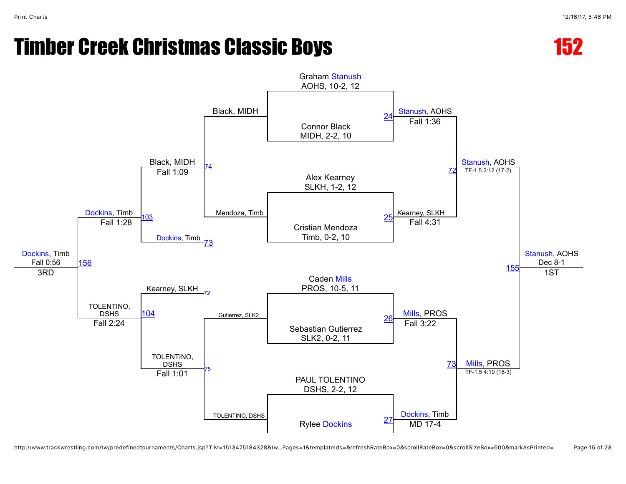

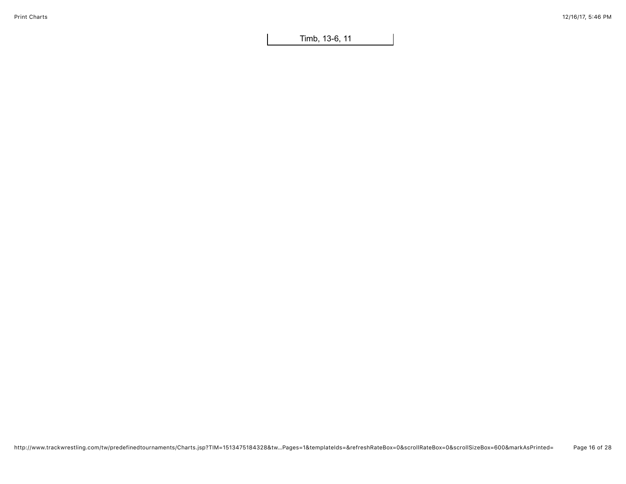Timb, 13-6, 11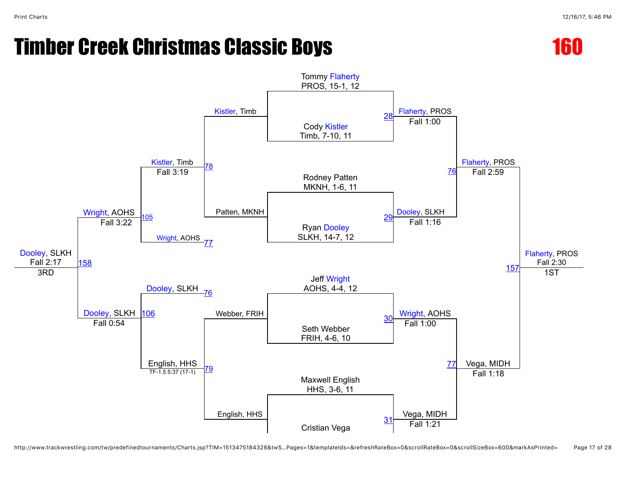



http://www.trackwrestling.com/tw/predefinedtournaments/Charts.jsp?TIM=1513475184328&twS…Pages=1&templateIds=&refreshRateBox=0&scrollRateBox=0&scrollSizeBox=600&markAsPrinted= Page 17 of 28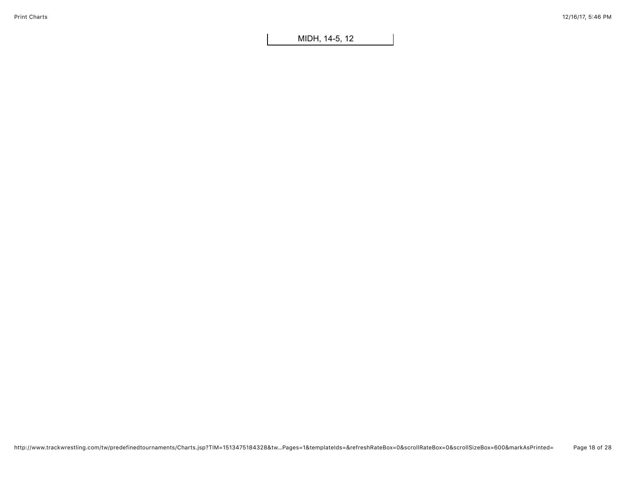MIDH, 14-5, 12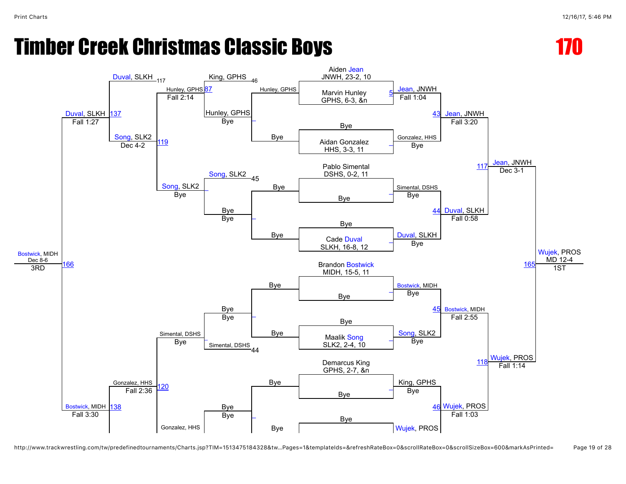

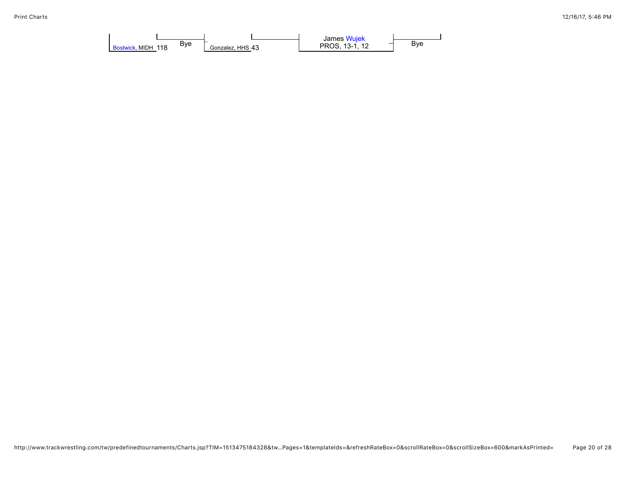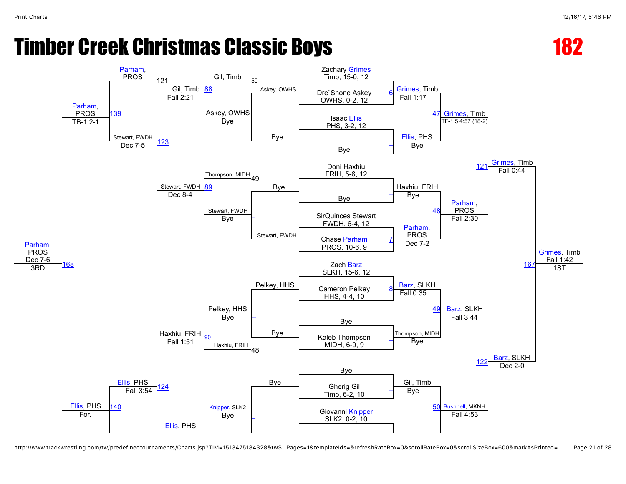



http://www.trackwrestling.com/tw/predefinedtournaments/Charts.jsp?TIM=1513475184328&twS…Pages=1&templateIds=&refreshRateBox=0&scrollRateBox=0&scrollSizeBox=600&markAsPrinted= Page 21 of 28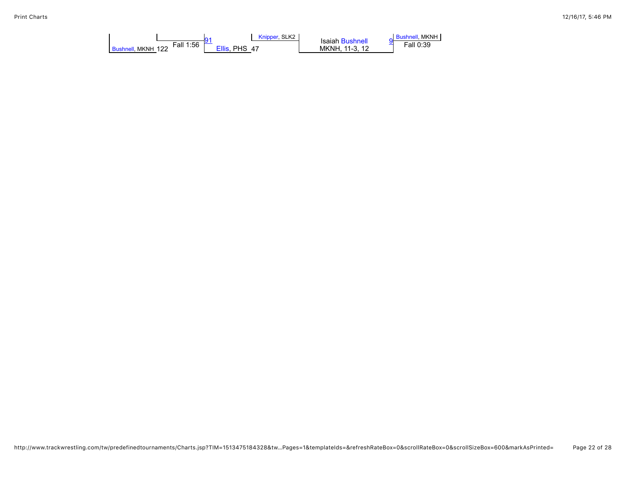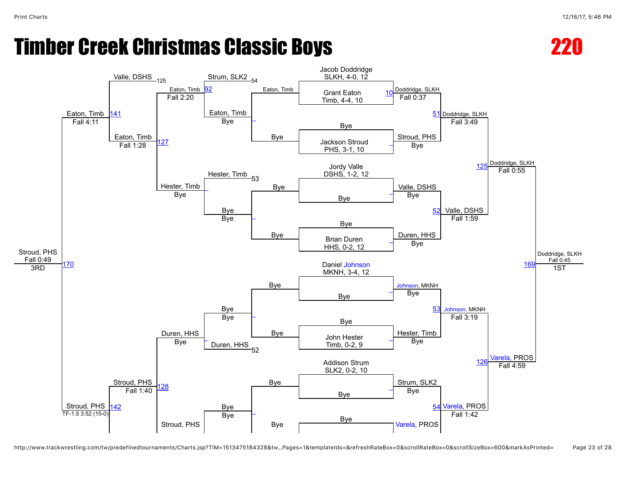

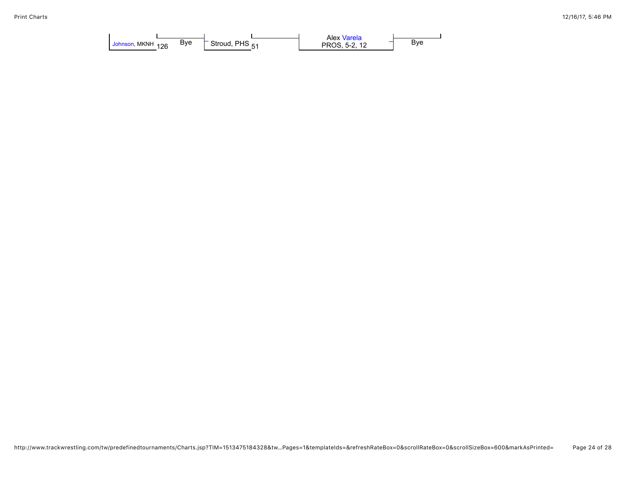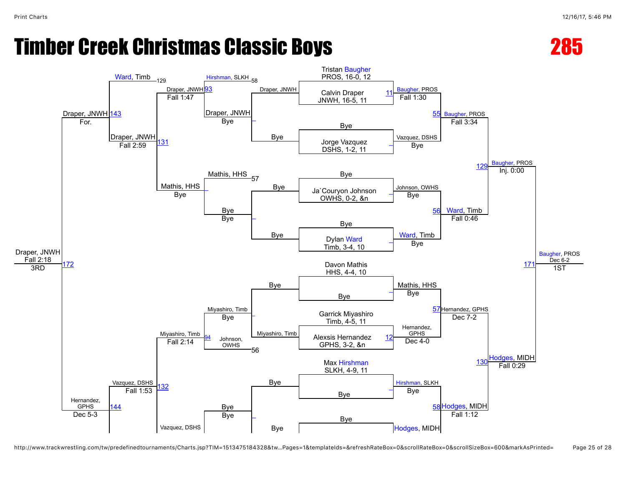



http://www.trackwrestling.com/tw/predefinedtournaments/Charts.jsp?TIM=1513475184328&tw…Pages=1&templateIds=&refreshRateBox=0&scrollRateBox=0&scrollSizeBox=600&markAsPrinted= Page 25 of 28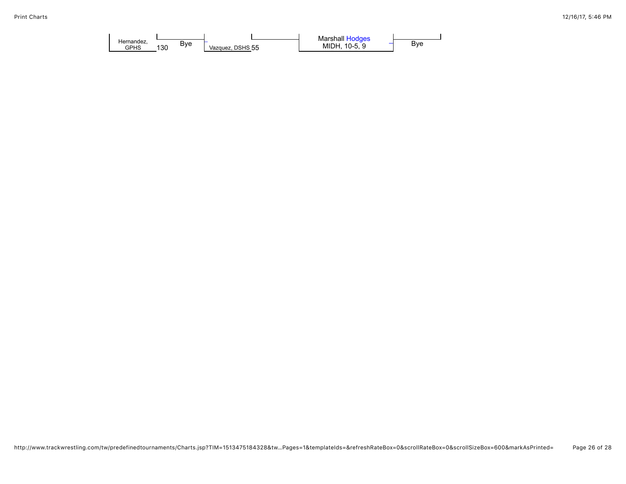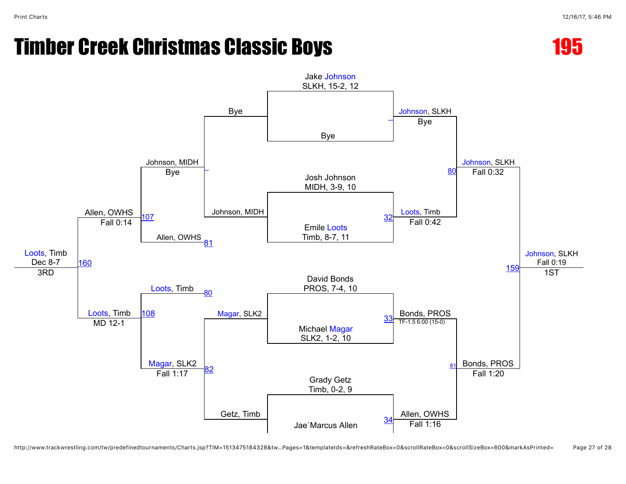



http://www.trackwrestling.com/tw/predefinedtournaments/Charts.jsp?TIM=1513475184328&tw…Pages=1&templateIds=&refreshRateBox=0&scrollRateBox=0&scrollSizeBox=600&markAsPrinted= Page 27 of 28